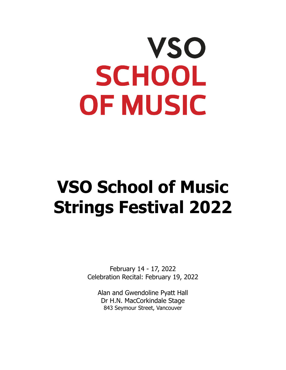# **VSO SCHOOL** OF MUSIC

# **VSO School of Music Strings Festival 2022**

February 14 - 17, 2022 Celebration Recital: February 19, 2022

Alan and Gwendoline Pyatt Hall Dr H.N. MacCorkindale Stage 843 Seymour Street, Vancouver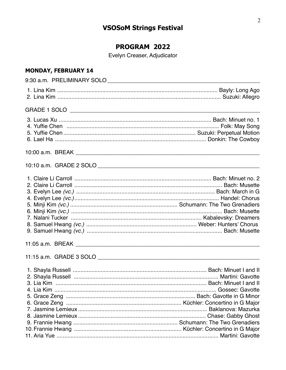# **VSOSoM Strings Festival**

# PROGRAM 2022

Evelyn Creaser, Adjudicator

# **MONDAY, FEBRUARY 14**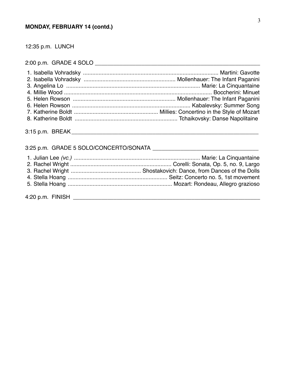## **MONDAY, FEBRUARY 14 (contd.)**

12:35 p.m. LUNCH

2:00 p.m. GRADE 4 SOLO \_\_\_\_\_\_\_\_\_\_\_\_\_\_\_\_\_\_\_\_\_\_\_\_\_\_\_\_\_\_\_\_\_\_\_\_\_\_\_\_\_\_\_\_\_\_\_\_\_\_\_\_\_

# 3:25 p.m. GRADE 5 SOLO/CONCERTO/SONATA \_\_\_\_\_\_\_\_\_\_\_\_\_\_\_\_\_\_\_\_\_\_\_\_\_\_\_\_\_\_\_\_\_\_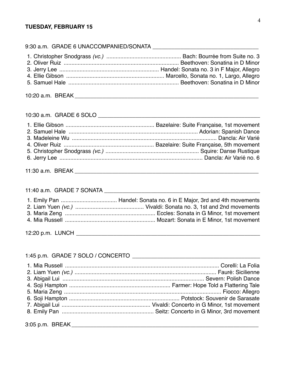#### **TUESDAY, FEBRUARY 15**

#### 9:30 a.m. GRADE 6 UNACCOMPANIED/SONATA

10:20 a.m. BREAK **with a set of the set of the set of the set of the set of the set of the set of the set of the set of the set of the set of the set of the set of the set of the set of the set of the set of the set of the** 

#### 10:30 a.m. GRADE 6 SOLO \_\_\_\_\_\_\_\_\_\_\_\_\_\_\_\_\_\_\_\_\_\_\_\_\_\_\_\_\_\_\_\_\_\_\_\_\_\_\_\_\_\_\_\_\_\_\_\_\_\_\_\_

## 11:30 a.m. BREAK **with a set of the set of the set of the set of the set of the set of the set of the set of the set of the set of the set of the set of the set of the set of the set of the set of the set of the set of the**

#### 11:40 a.m. GRADE 7 SONATA \_\_\_\_\_\_\_\_\_\_\_\_\_\_\_\_\_\_\_\_\_\_\_\_\_\_\_\_\_\_\_\_\_\_\_\_\_\_\_\_\_\_\_\_\_\_\_\_\_\_

12:20 p.m. LUNCH \_\_\_\_\_\_\_\_\_\_\_\_\_\_\_\_\_\_\_\_\_\_\_\_\_\_\_\_\_\_\_\_\_\_\_\_\_\_\_\_\_\_\_\_\_\_\_\_\_\_\_\_\_\_\_\_\_\_\_

#### 1:45 p.m. GRADE 7 SOLO / CONCERTO \_\_\_\_\_\_\_\_\_\_\_\_\_\_\_\_\_\_\_\_\_\_\_\_\_\_\_\_\_\_\_\_\_\_\_\_\_\_\_\_\_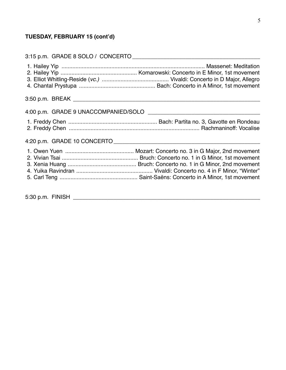# **TUESDAY, FEBRUARY 15 (cont'd)**

| 4:20 p.m. GRADE 10 CONCERTO <b>And All According to the CONCERTO</b> |
|----------------------------------------------------------------------|
|                                                                      |
| 5:30 p.m. FINISH ____________________                                |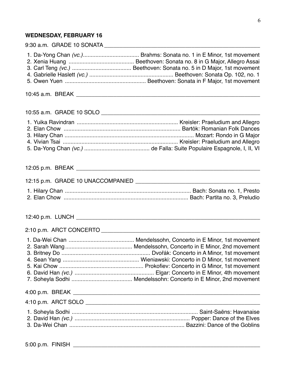# **WEDNESDAY, FEBRUARY 16**